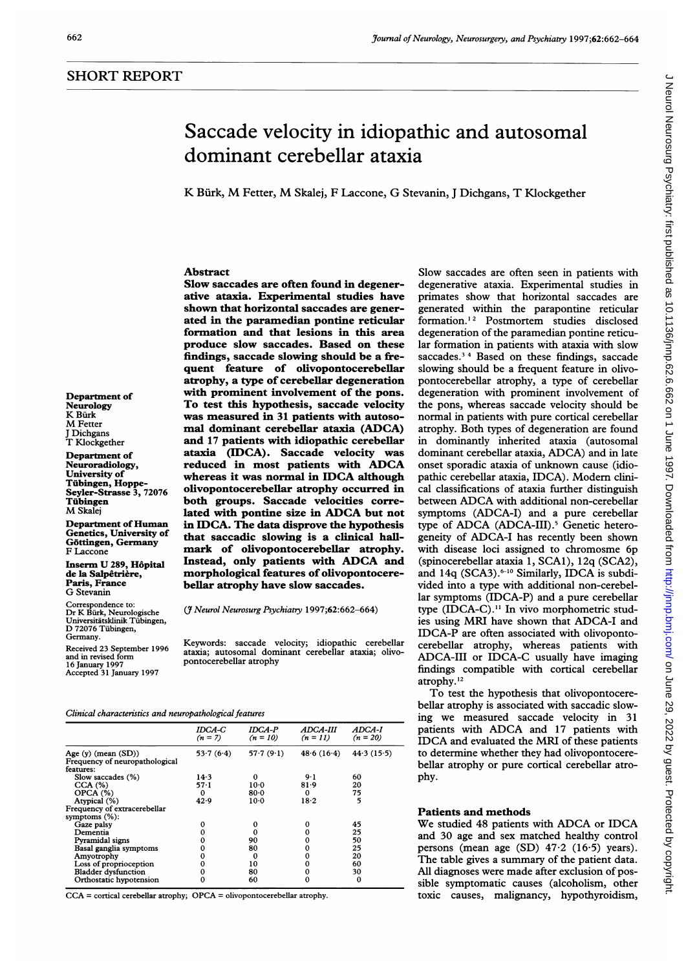Department of Neurology K Rürk M Fetter J Dichgans T Klockgether Department of Neuroradiology, University of Tubingen, Hoppe-Seyler-Strasse 3, 72076

Tubingen M Skalej

F Laccone

Department of Human Genetics, University of Göttingen, Germany

Inserm U 289, Hôpital de la Salpêtrière, Paris, France G Stevanin

Correspondence to: Dr K Burk, Neurologische Universitatsklinik Tubingen, D <sup>72076</sup> Tubingen, Germany.

Received 23 September 1996 and in revised form

16 January 1997 Accepted 31 January 1997

# Saccade velocity in idiopathic and autosomal dominant cerebellar ataxia

K Biirk, M Fetter, M Skalej, <sup>F</sup> Laccone, G Stevanin, <sup>J</sup> Dichgans, T Klockgether

## Abstract

Slow saccades are often found in degenerative ataxia. Experimental studies have shown that horizontal saccades are generated in the paramedian pontine reticular formation and that lesions in this area produce slow saccades. Based on these findings, saccade slowing should be a frequent feature of olivopontocerebellar atrophy, a type of cerebellar degeneration with prominent involvement of the pons. To test this hypothesis, saccade velocity was measured in 31 patients with autosomal dominant cerebeliar ataxia (ADCA) and 17 patients with idiopathic cerebellar ataxia (IDCA). Saccade velocity was reduced in most patients with ADCA whereas it was normal in IDCA although olivopontocerebeliar atrophy occurred in both groups. Saccade velocities correlated with pontine size in ADCA but not in IDCA. The data disprove the hypothesis that saccadic slowing is a clinical hallmark of olivopontocerebellar atrophy. Instead, only patients with ADCA and morphological features of olivopontocerebellar atrophy have slow saccades.

(*J* Neurol Neurosurg Psychiatry 1997;62:662-664)

Keywords: saccade velocity; idiopathic cerebellar ataxia; autosomal dominant cerebellar ataxia; olivopontocerebellar atrophy

Clinical characteristics and neuropathological features

| IDCA-C<br>$(n = 7)$ | IDCA-P<br>$(n = 10)$ | <i><b>ADCA-III</b></i><br>$(n = 11)$ | ADCA-I<br>$(n = 20)$ |
|---------------------|----------------------|--------------------------------------|----------------------|
| 53.7(6.4)           | 57.7(9.1)            | 48.6(16.4)                           | 44.3(15.5)           |
| 14.3                | 0                    | $9 - 1$                              | 60                   |
| $57-1$              | $10-0$               | 81.9                                 | 20                   |
| $\Omega$            | $80-0$               | 0                                    | 75                   |
| 42.9                | $10-0$               | 18.2                                 | 5                    |
|                     |                      |                                      |                      |
| 0                   |                      |                                      | 45                   |
|                     | $\boldsymbol{0}$     |                                      | 25                   |
|                     |                      |                                      | 50                   |
|                     |                      |                                      | 25                   |
|                     | 0                    |                                      | 20                   |
|                     | 10                   |                                      | 60                   |
|                     |                      |                                      | 30                   |
| о                   | 60                   |                                      | 0                    |
|                     |                      | 90<br>80<br>80                       |                      |

CCA = cortical cerebellar atrophy; OPCA = olivopontocerebellar atrophy.

Slow saccades are often seen in patients with degenerative ataxia. Experimental studies in primates show that horizontal saccades are generated within the parapontine reticular formation.<sup>12</sup> Postmortem studies disclosed degeneration of the paramedian pontine reticular formation in patients with ataxia with slow saccades.<sup>34</sup> Based on these findings, saccade slowing should be a frequent feature in olivopontocerebellar atrophy, a type of cerebellar degeneration with prominent involvement of the pons, whereas saccade velocity should be normal in patients with pure cortical cerebellar atrophy. Both types of degeneration are found in dominantly inherited ataxia (autosomal dominant cerebellar ataxia, ADCA) and in late onset sporadic ataxia of unknown cause (idiopathic cerebellar ataxia, IDCA). Modem clinical classifications of ataxia further distinguish between ADCA with additional non-cerebellar symptoms (ADCA-I) and a pure cerebellar type of ADCA (ADCA-III).<sup>5</sup> Genetic heterogeneity of ADCA-I has recently been shown with disease loci assigned to chromosme 6p (spinocerebellar ataxia 1, SCA1), 12q (SCA2), and 14q (SCA3).<sup>6-10</sup> Similarly, IDCA is subdivided into a type with additional non-cerebellar symptoms (IDCA-P) and a pure cerebellar type (IDCA-C)." In vivo morphometric studies using MRI have shown that ADCA-I and IDCA-P are often associated with olivopontocerebellar atrophy, whereas patients with ADCA-III or IDCA-C usually have imaging findings compatible with cortical cerebellar atrophy. <sup>12</sup>

To test the hypothesis that olivopontocerebellar atrophy is associated with saccadic slowing we measured saccade velocity in 31 patients with ADCA and <sup>17</sup> patients with IDCA and evaluated the MRI of these patients to determine whether they had olivopontocerebellar atrophy or pure cortical cerebellar atrophy.

## Patients and methods

We studied <sup>48</sup> patients with ADCA or IDCA and 30 age and sex matched healthy control persons (mean age (SD) 47-2 (16-5) years). The table gives a summary of the patient data. All diagnoses were made after exclusion of possible symptomatic causes (alcoholism, other toxic causes, malignancy, hypothyroidism,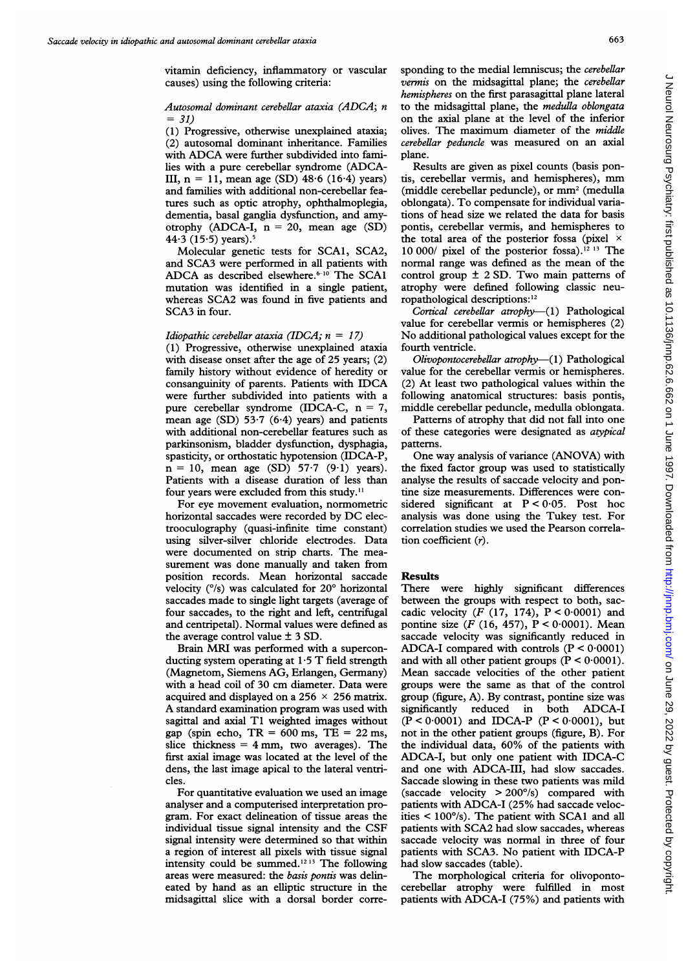vitamin deficiency, inflammatory or vascular causes) using the following criteria:

## Autosomal dominant cerebellar ataxia (ADCA; n  $= 31$

(1) Progressive, otherwise unexplained ataxia; (2) autosomal dominant inheritance. Families with ADCA were further subdivided into families with <sup>a</sup> pure cerebellar syndrome (ADCA-III,  $n = 11$ , mean age (SD) 48.6 (16.4) years) and families with additional non-cerebellar features such as optic atrophy, ophthalmoplegia, dementia, basal ganglia dysfunction, and amyotrophy (ADCA-I,  $n = 20$ , mean age (SD) 44 $\cdot$ 3 (15 $\cdot$ 5) years).

Molecular genetic tests for SCA1, SCA2, and SCA3 were performed in all patients with ADCA as described elsewhere.<sup> $6-10$ </sup> The SCA1 mutation was identified in a single patient, whereas SCA2 was found in five patients and SCA3 in four.

#### Idiopathic cerebellar ataxia (IDCA;  $n = 17$ )

(1) Progressive, otherwise unexplained ataxia with disease onset after the age of 25 years; (2) family history without evidence of heredity or consanguinity of parents. Patients with IDCA were further subdivided into patients with a pure cerebellar syndrome (IDCA-C, n = 7, mean age (SD)  $53.7$  (6.4) years) and patients with additional non-cerebellar features such as parkinsonism, bladder dysfunction, dysphagia, spasticity, or orthostatic hypotension (IDCA-P,  $n = 10$ , mean age (SD) 57.7 (9.1) years). Patients with a disease duration of less than four years were excluded from this study."I

For eye movement evaluation, normometric horizontal saccades were recorded by DC electrooculography (quasi-infinite time constant) using silver-silver chloride electrodes. Data were documented on strip charts. The measurement was done manually and taken from position records. Mean horizontal saccade velocity (°/s) was calculated for 20° horizontal saccades made to single light targets (average of four saccades, to the right and left, centrifugal and centripetal). Normal values were defined as the average control value ± 3 SD.

Brain MRI was performed with <sup>a</sup> superconducting system operating at  $1.5$  T field strength (Magnetom, Siemens AG, Erlangen, Germany) with <sup>a</sup> head coil of 30 cm diameter. Data were acquired and displayed on a 256  $\times$  256 matrix. A standard examination program was used with sagittal and axial T1 weighted images without gap (spin echo,  $TR = 600$  ms,  $TE = 22$  ms, slice thickness  $= 4$  mm, two averages). The first axial image was located at the level of the dens, the last image apical to the lateral ventricles.

For quantitative evaluation we used an image analyser and a computerised interpretation program. For exact delineation of tissue areas the individual tissue signal intensity and the CSF signal intensity were determined so that within a region of interest all pixels with tissue signal intensity could be summed.'213 The following areas were measured: the basis pontis was delineated by hand as an elliptic structure in the midsagittal slice with a dorsal border corresponding to the medial lemniscus; the cerebellar vermis on the midsagittal plane; the cerebellar hemispheres on the first parasagittal plane lateral to the midsagittal plane, the medulla oblongata on the axial plane at the level of the inferior olives. The maximum diameter of the middle cerebellar peduncle was measured on an axial plane.

Results are given as pixel counts (basis pontis, cerebellar vermis, and hemispheres), mm (middle cerebellar peduncle), or mm2 (medulla oblongata). To compensate for individual variations of head size we related the data for basis pontis, cerebellar vermis, and hemispheres to the total area of the posterior fossa (pixel  $\times$ 10 000/ pixel of the posterior fossa).<sup>12 13</sup> The normal range was defined as the mean of the control group ± 2 SD. Two main patterns of atrophy were defined following classic neuropathological descriptions:'2

Cortical cerebellar atrophy-(1) Pathological value for cerebellar vermis or hemispheres (2) No additional pathological values except for the fourth ventricle.

 $O*livopontocerebellar atrophy*—(1) **Pathological**$ value for the cerebellar vermis or hemispheres. (2) At least two pathological values within the following anatomical structures: basis pontis, middle cerebellar peduncle, medulla oblongata.

Patterns of atrophy that did not fall into one of these categories were designated as atypical patterns.

One way analysis of variance (ANOVA) with the fixed factor group was used to statistically analyse the results of saccade velocity and pontine size measurements. Differences were considered significant at  $P < 0.05$ . Post hoc analysis was done using the Tukey test. For correlation studies we used the Pearson correlation coefficient (r).

### Results

There were highly significant differences between the groups with respect to both, saccadic velocity  $(F (17, 174), P < 0.0001)$  and pontine size (F (16, 457),  $P < 0.0001$ ). Mean saccade velocity was significantly reduced in ADCA-I compared with controls  $(P < 0.0001)$ and with all other patient groups  $(P < 0.0001)$ . Mean saccade velocities of the other patient groups were the same as that of the control group (figure, A). By contrast, pontine size was significantly reduced in both ADCA-I  $(P < 0.0001)$  and IDCA-P  $(P < 0.0001)$ , but not in the other patient groups (figure, B). For the individual data, 60% of the patients with ADCA-I, but only one patient with IDCA-C and one with ADCA-III, had slow saccades. Saccade slowing in these two patients was mild (saccade velocity > 200°/s) compared with patients with ADCA-I (25% had saccade velocities < 100°/s). The patient with SCAl and all patients with SCA2 had slow saccades, whereas saccade velocity was normal in three of four patients with SCA3. No patient with IDCA-P had slow saccades (table).

The morphological criteria for olivopontocerebellar atrophy were fulfilled in most patients with ADCA-I (75%) and patients with